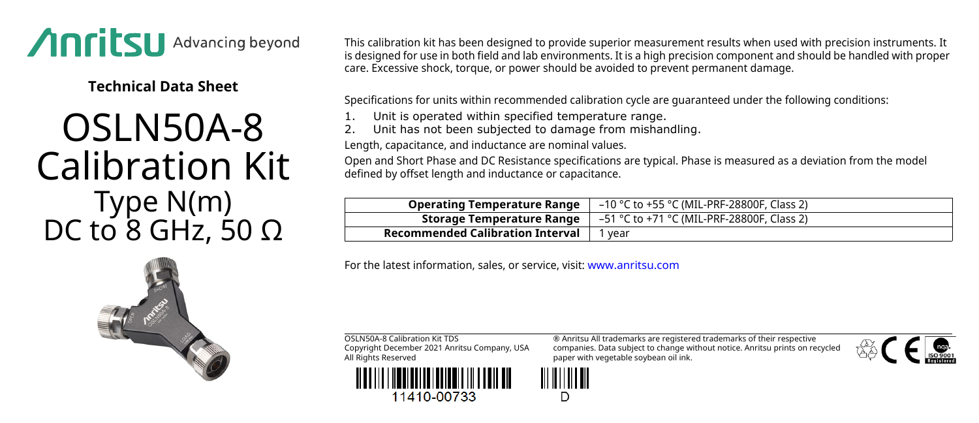

**Technical Data Sheet**

## OSLN50A-8 Calibration Kit Type N(m) DC to  $8$  GHz, 50 Ω

This calibration kit has been designed to provide superior measurement results when used with precision instruments. It is designed for use in both field and lab environments. It is a high precision component and should be handled with proper care. Excessive shock, torque, or power should be avoided to prevent permanent damage.

Specifications for units within recommended calibration cycle are guaranteed under the following conditions:

- Unit is operated within specified temperature range.
- Unit has not been subjected to damage from mishandling.

Length, capacitance, and inductance are nominal values.

Open and Short Phase and DC Resistance specifications are typical. Phase is measured as a deviation from the model defined by offset length and inductance or capacitance.

| <b>Operating Temperature Range</b>      | –10 °C to +55 °C (MIL-PRF-28800F, Class 2) |
|-----------------------------------------|--------------------------------------------|
| Storage Temperature Range               | –51 °C to +71 °C (MIL-PRF-28800F, Class 2) |
| <b>Recommended Calibration Interval</b> | vear                                       |

For the latest information, sales, or service, visit: [www.anritsu.com](http://www.anritsu.com)

OSLN50A-8 Calibration Kit TDS Copyright December 2021 Anritsu Company, USA All Rights Reserved



® Anritsu All trademarks are registered trademarks of their respective companies. Data subject to change without notice. Anritsu prints on recycled paper with vegetable soybean oil ink.